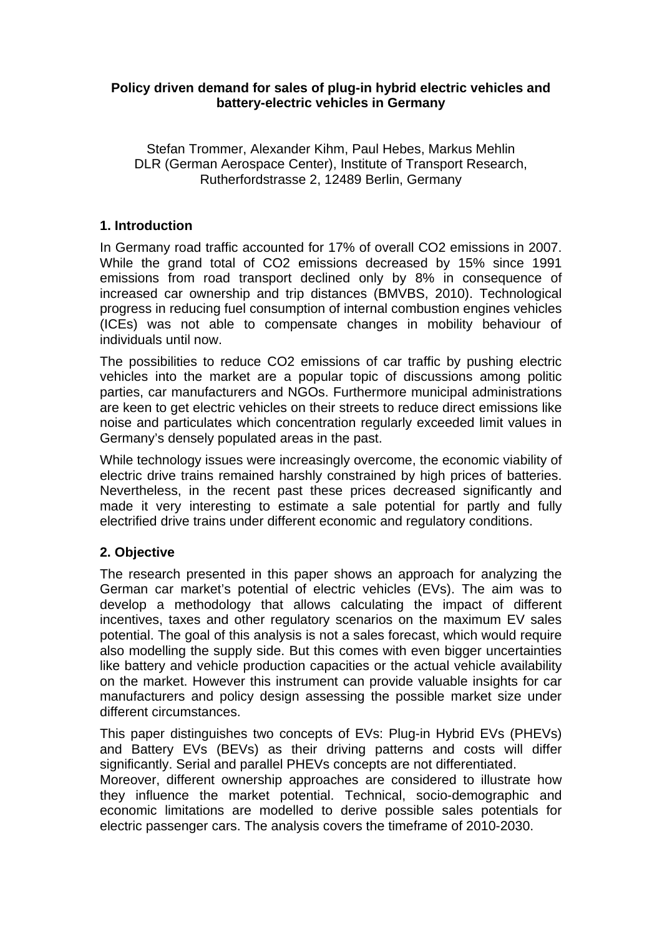## **Policy driven demand for sales of plug-in hybrid electric vehicles and battery-electric vehicles in Germany**

## Stefan Trommer, Alexander Kihm, Paul Hebes, Markus Mehlin DLR (German Aerospace Center), Institute of Transport Research, Rutherfordstrasse 2, 12489 Berlin, Germany

# **1. Introduction**

In Germany road traffic accounted for 17% of overall CO2 emissions in 2007. While the grand total of CO2 emissions decreased by 15% since 1991 emissions from road transport declined only by 8% in consequence of increased car ownership and trip distances (BMVBS, 2010). Technological progress in reducing fuel consumption of internal combustion engines vehicles (ICEs) was not able to compensate changes in mobility behaviour of individuals until now.

The possibilities to reduce CO2 emissions of car traffic by pushing electric vehicles into the market are a popular topic of discussions among politic parties, car manufacturers and NGOs. Furthermore municipal administrations are keen to get electric vehicles on their streets to reduce direct emissions like noise and particulates which concentration regularly exceeded limit values in Germany's densely populated areas in the past.

While technology issues were increasingly overcome, the economic viability of electric drive trains remained harshly constrained by high prices of batteries. Nevertheless, in the recent past these prices decreased significantly and made it very interesting to estimate a sale potential for partly and fully electrified drive trains under different economic and regulatory conditions.

# **2. Objective**

The research presented in this paper shows an approach for analyzing the German car market's potential of electric vehicles (EVs). The aim was to develop a methodology that allows calculating the impact of different incentives, taxes and other regulatory scenarios on the maximum EV sales potential. The goal of this analysis is not a sales forecast, which would require also modelling the supply side. But this comes with even bigger uncertainties like battery and vehicle production capacities or the actual vehicle availability on the market. However this instrument can provide valuable insights for car manufacturers and policy design assessing the possible market size under different circumstances.

This paper distinguishes two concepts of EVs: Plug-in Hybrid EVs (PHEVs) and Battery EVs (BEVs) as their driving patterns and costs will differ significantly. Serial and parallel PHEVs concepts are not differentiated.

Moreover, different ownership approaches are considered to illustrate how they influence the market potential. Technical, socio-demographic and economic limitations are modelled to derive possible sales potentials for electric passenger cars. The analysis covers the timeframe of 2010-2030.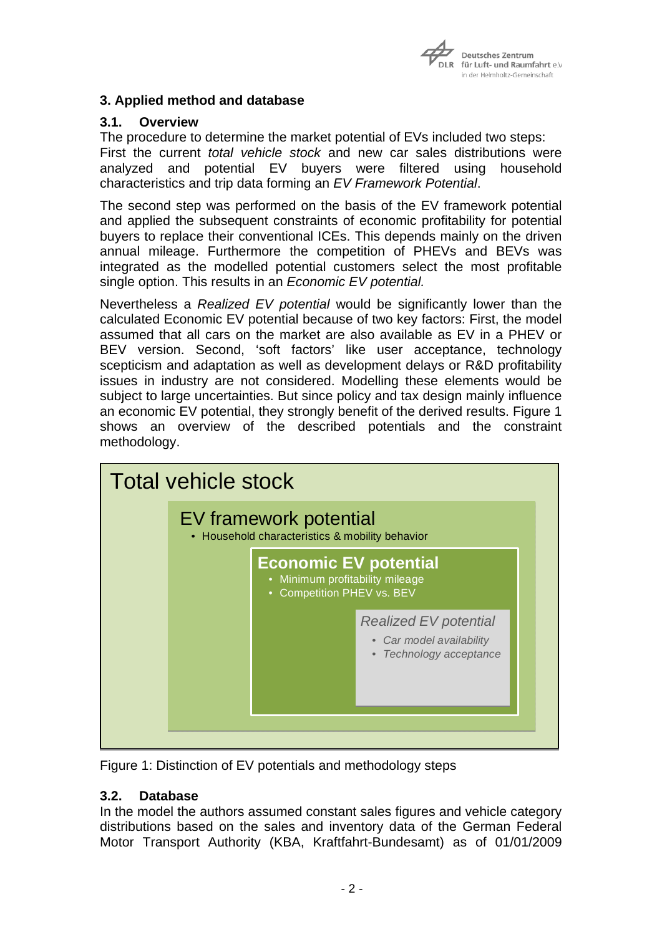

# **3. Applied method and database**

## **3.1. Overview**

The procedure to determine the market potential of EVs included two steps: First the current *total vehicle stock* and new car sales distributions were analyzed and potential EV buyers were filtered using household characteristics and trip data forming an *EV Framework Potential*.

The second step was performed on the basis of the EV framework potential and applied the subsequent constraints of economic profitability for potential buyers to replace their conventional ICEs. This depends mainly on the driven annual mileage. Furthermore the competition of PHEVs and BEVs was integrated as the modelled potential customers select the most profitable single option. This results in an *Economic EV potential.*

Nevertheless a *Realized EV potential* would be significantly lower than the calculated Economic EV potential because of two key factors: First, the model assumed that all cars on the market are also available as EV in a PHEV or BEV version. Second, 'soft factors' like user acceptance, technology scepticism and adaptation as well as development delays or R&D profitability issues in industry are not considered. Modelling these elements would be subject to large uncertainties. But since policy and tax design mainly influence an economic EV potential, they strongly benefit of the derived results. Figure 1 shows an overview of the described potentials and the constraint methodology.



Figure 1: Distinction of EV potentials and methodology steps

## **3.2. Database**

In the model the authors assumed constant sales figures and vehicle category distributions based on the sales and inventory data of the German Federal Motor Transport Authority (KBA, Kraftfahrt-Bundesamt) as of 01/01/2009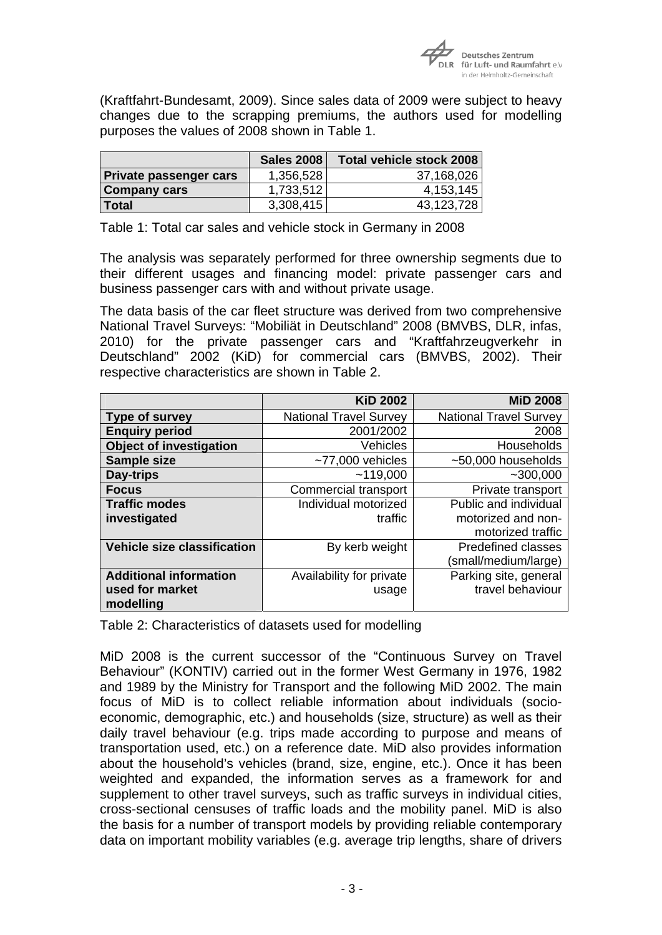

(Kraftfahrt-Bundesamt, 2009). Since sales data of 2009 were subject to heavy changes due to the scrapping premiums, the authors used for modelling purposes the values of 2008 shown in Table 1.

|                               | <b>Sales 2008</b> | <b>Total vehicle stock 2008</b> |
|-------------------------------|-------------------|---------------------------------|
| <b>Private passenger cars</b> | 1,356,528         | 37,168,026                      |
| <b>Company cars</b>           | 1,733,512         | 4,153,145                       |
| l Total                       | 3,308,415         | 43,123,728                      |

Table 1: Total car sales and vehicle stock in Germany in 2008

The analysis was separately performed for three ownership segments due to their different usages and financing model: private passenger cars and business passenger cars with and without private usage.

The data basis of the car fleet structure was derived from two comprehensive National Travel Surveys: "Mobiliät in Deutschland" 2008 (BMVBS, DLR, infas, 2010) for the private passenger cars and "Kraftfahrzeugverkehr in Deutschland" 2002 (KiD) for commercial cars (BMVBS, 2002). Their respective characteristics are shown in Table 2.

|                                    | <b>KiD 2002</b>               | <b>MiD 2008</b>               |
|------------------------------------|-------------------------------|-------------------------------|
| Type of survey                     | <b>National Travel Survey</b> | <b>National Travel Survey</b> |
| <b>Enquiry period</b>              | 2001/2002                     | 2008                          |
| <b>Object of investigation</b>     | Vehicles                      | Households                    |
| Sample size                        | $~1$ -77,000 vehicles         | $~1$ -50,000 households       |
| Day-trips                          | ~119,000                      | $-300,000$                    |
| <b>Focus</b>                       | Commercial transport          | Private transport             |
| <b>Traffic modes</b>               | Individual motorized          | Public and individual         |
| investigated                       | traffic                       | motorized and non-            |
|                                    |                               | motorized traffic             |
| <b>Vehicle size classification</b> | By kerb weight                | <b>Predefined classes</b>     |
|                                    |                               | (small/medium/large)          |
| <b>Additional information</b>      | Availability for private      | Parking site, general         |
| used for market<br>modelling       | usage                         | travel behaviour              |

Table 2: Characteristics of datasets used for modelling

MiD 2008 is the current successor of the "Continuous Survey on Travel Behaviour" (KONTIV) carried out in the former West Germany in 1976, 1982 and 1989 by the Ministry for Transport and the following MiD 2002. The main focus of MiD is to collect reliable information about individuals (socioeconomic, demographic, etc.) and households (size, structure) as well as their daily travel behaviour (e.g. trips made according to purpose and means of transportation used, etc.) on a reference date. MiD also provides information about the household's vehicles (brand, size, engine, etc.). Once it has been weighted and expanded, the information serves as a framework for and supplement to other travel surveys, such as traffic surveys in individual cities, cross-sectional censuses of traffic loads and the mobility panel. MiD is also the basis for a number of transport models by providing reliable contemporary data on important mobility variables (e.g. average trip lengths, share of drivers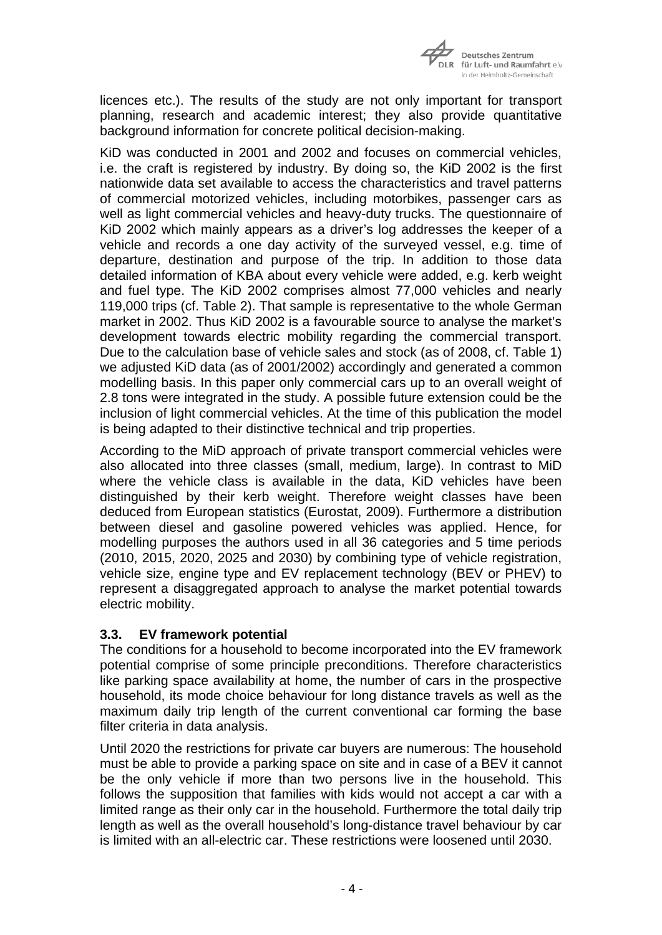

licences etc.). The results of the study are not only important for transport planning, research and academic interest; they also provide quantitative background information for concrete political decision-making.

KiD was conducted in 2001 and 2002 and focuses on commercial vehicles, i.e. the craft is registered by industry. By doing so, the KiD 2002 is the first nationwide data set available to access the characteristics and travel patterns of commercial motorized vehicles, including motorbikes, passenger cars as well as light commercial vehicles and heavy-duty trucks. The questionnaire of KiD 2002 which mainly appears as a driver's log addresses the keeper of a vehicle and records a one day activity of the surveyed vessel, e.g. time of departure, destination and purpose of the trip. In addition to those data detailed information of KBA about every vehicle were added, e.g. kerb weight and fuel type. The KiD 2002 comprises almost 77,000 vehicles and nearly 119,000 trips (cf. Table 2). That sample is representative to the whole German market in 2002. Thus KiD 2002 is a favourable source to analyse the market's development towards electric mobility regarding the commercial transport. Due to the calculation base of vehicle sales and stock (as of 2008, cf. Table 1) we adjusted KiD data (as of 2001/2002) accordingly and generated a common modelling basis. In this paper only commercial cars up to an overall weight of 2.8 tons were integrated in the study. A possible future extension could be the inclusion of light commercial vehicles. At the time of this publication the model is being adapted to their distinctive technical and trip properties.

According to the MiD approach of private transport commercial vehicles were also allocated into three classes (small, medium, large). In contrast to MiD where the vehicle class is available in the data, KiD vehicles have been distinguished by their kerb weight. Therefore weight classes have been deduced from European statistics (Eurostat, 2009). Furthermore a distribution between diesel and gasoline powered vehicles was applied. Hence, for modelling purposes the authors used in all 36 categories and 5 time periods (2010, 2015, 2020, 2025 and 2030) by combining type of vehicle registration, vehicle size, engine type and EV replacement technology (BEV or PHEV) to represent a disaggregated approach to analyse the market potential towards electric mobility.

## **3.3. EV framework potential**

The conditions for a household to become incorporated into the EV framework potential comprise of some principle preconditions. Therefore characteristics like parking space availability at home, the number of cars in the prospective household, its mode choice behaviour for long distance travels as well as the maximum daily trip length of the current conventional car forming the base filter criteria in data analysis.

Until 2020 the restrictions for private car buyers are numerous: The household must be able to provide a parking space on site and in case of a BEV it cannot be the only vehicle if more than two persons live in the household. This follows the supposition that families with kids would not accept a car with a limited range as their only car in the household. Furthermore the total daily trip length as well as the overall household's long-distance travel behaviour by car is limited with an all-electric car. These restrictions were loosened until 2030.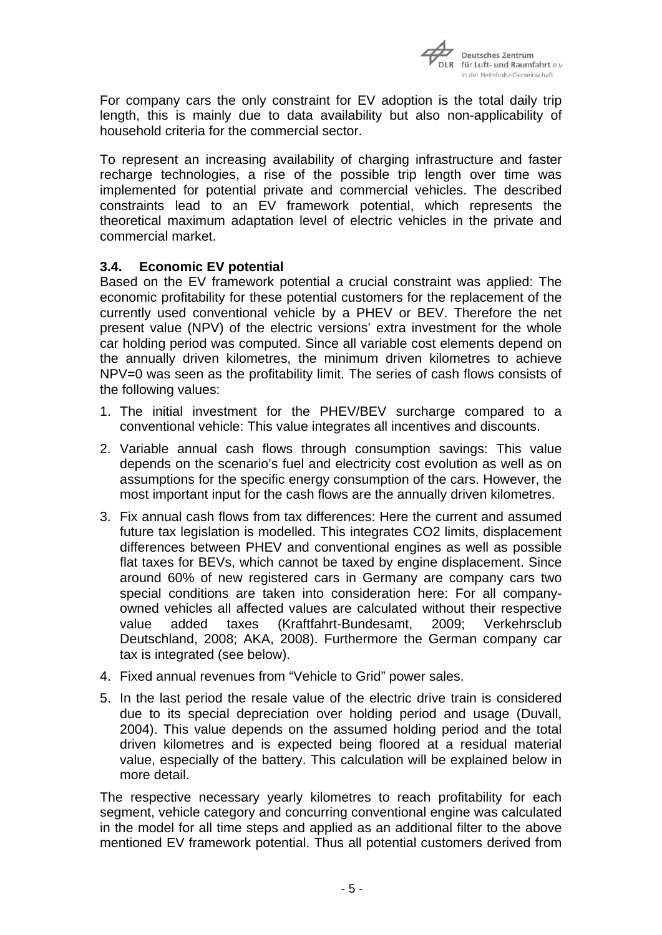

For company cars the only constraint for EV adoption is the total daily trip length, this is mainly due to data availability but also non-applicability of household criteria for the commercial sector.

To represent an increasing availability of charging infrastructure and faster recharge technologies, a rise of the possible trip length over time was implemented for potential private and commercial vehicles. The described constraints lead to an EV framework potential, which represents the theoretical maximum adaptation level of electric vehicles in the private and commercial market.

## **3.4. Economic EV potential**

Based on the EV framework potential a crucial constraint was applied: The economic profitability for these potential customers for the replacement of the currently used conventional vehicle by a PHEV or BEV. Therefore the net present value (NPV) of the electric versions' extra investment for the whole car holding period was computed. Since all variable cost elements depend on the annually driven kilometres, the minimum driven kilometres to achieve NPV=0 was seen as the profitability limit. The series of cash flows consists of the following values:

- 1. The initial investment for the PHEV/BEV surcharge compared to a conventional vehicle: This value integrates all incentives and discounts.
- 2. Variable annual cash flows through consumption savings: This value depends on the scenario's fuel and electricity cost evolution as well as on assumptions for the specific energy consumption of the cars. However, the most important input for the cash flows are the annually driven kilometres.
- 3. Fix annual cash flows from tax differences: Here the current and assumed future tax legislation is modelled. This integrates CO2 limits, displacement differences between PHEV and conventional engines as well as possible flat taxes for BEVs, which cannot be taxed by engine displacement. Since around 60% of new registered cars in Germany are company cars two special conditions are taken into consideration here: For all companyowned vehicles all affected values are calculated without their respective value added taxes (Kraftfahrt-Bundesamt, 2009; Verkehrsclub Deutschland, 2008; AKA, 2008). Furthermore the German company car tax is integrated (see below).
- 4. Fixed annual revenues from "Vehicle to Grid" power sales.
- 5. In the last period the resale value of the electric drive train is considered due to its special depreciation over holding period and usage (Duvall, 2004). This value depends on the assumed holding period and the total driven kilometres and is expected being floored at a residual material value, especially of the battery. This calculation will be explained below in more detail.

The respective necessary yearly kilometres to reach profitability for each segment, vehicle category and concurring conventional engine was calculated in the model for all time steps and applied as an additional filter to the above mentioned EV framework potential. Thus all potential customers derived from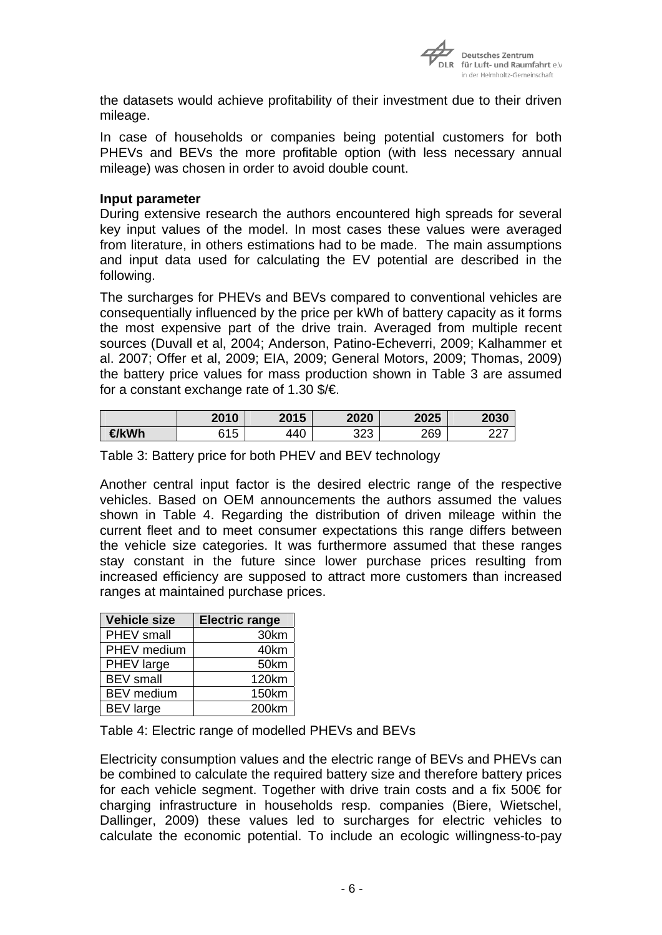

the datasets would achieve profitability of their investment due to their driven mileage.

In case of households or companies being potential customers for both PHEVs and BEVs the more profitable option (with less necessary annual mileage) was chosen in order to avoid double count.

#### **Input parameter**

During extensive research the authors encountered high spreads for several key input values of the model. In most cases these values were averaged from literature, in others estimations had to be made. The main assumptions and input data used for calculating the EV potential are described in the following.

The surcharges for PHEVs and BEVs compared to conventional vehicles are consequentially influenced by the price per kWh of battery capacity as it forms the most expensive part of the drive train. Averaged from multiple recent sources (Duvall et al, 2004; Anderson, Patino-Echeverri, 2009; Kalhammer et al. 2007; Offer et al, 2009; EIA, 2009; General Motors, 2009; Thomas, 2009) the battery price values for mass production shown in Table 3 are assumed for a constant exchange rate of 1.30 \$/€.

|      | 2010             | 2015 | 2020       | 2025 | 2030     |
|------|------------------|------|------------|------|----------|
| ∉kWh | <b>815</b><br>∪ו | 440  | つつつ<br>د∠ت | 269  | ົ<br>$-$ |

Table 3: Battery price for both PHEV and BEV technology

Another central input factor is the desired electric range of the respective vehicles. Based on OEM announcements the authors assumed the values shown in Table 4. Regarding the distribution of driven mileage within the current fleet and to meet consumer expectations this range differs between the vehicle size categories. It was furthermore assumed that these ranges stay constant in the future since lower purchase prices resulting from increased efficiency are supposed to attract more customers than increased ranges at maintained purchase prices.

| <b>Vehicle size</b> | <b>Electric range</b> |
|---------------------|-----------------------|
| PHEV small          | 30km                  |
| PHEV medium         | 40km                  |
| PHEV large          | 50km                  |
| <b>BEV</b> small    | 120km                 |
| <b>BEV</b> medium   | 150km                 |
| <b>BEV</b> large    | 200km                 |

Table 4: Electric range of modelled PHEVs and BEVs

Electricity consumption values and the electric range of BEVs and PHEVs can be combined to calculate the required battery size and therefore battery prices for each vehicle segment. Together with drive train costs and a fix 500€ for charging infrastructure in households resp. companies (Biere, Wietschel, Dallinger, 2009) these values led to surcharges for electric vehicles to calculate the economic potential. To include an ecologic willingness-to-pay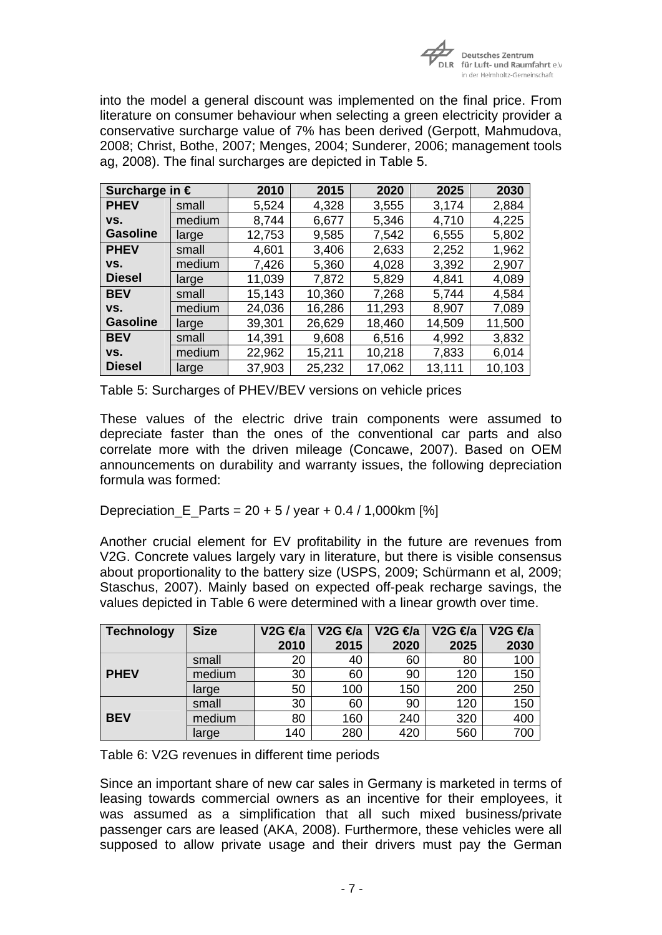

into the model a general discount was implemented on the final price. From literature on consumer behaviour when selecting a green electricity provider a conservative surcharge value of 7% has been derived (Gerpott, Mahmudova, 2008; Christ, Bothe, 2007; Menges, 2004; Sunderer, 2006; management tools ag, 2008). The final surcharges are depicted in Table 5.

| Surcharge in $\epsilon$ |        | 2010   | 2015   | 2020   | 2025   | 2030   |
|-------------------------|--------|--------|--------|--------|--------|--------|
| <b>PHEV</b>             | small  | 5,524  | 4,328  | 3,555  | 3,174  | 2,884  |
| VS.                     | medium | 8,744  | 6,677  | 5,346  | 4,710  | 4,225  |
| <b>Gasoline</b>         | large  | 12,753 | 9,585  | 7,542  | 6,555  | 5,802  |
| <b>PHEV</b>             | small  | 4,601  | 3,406  | 2,633  | 2,252  | 1,962  |
| VS.                     | medium | 7,426  | 5,360  | 4,028  | 3,392  | 2,907  |
| <b>Diesel</b>           | large  | 11,039 | 7,872  | 5,829  | 4,841  | 4,089  |
| <b>BEV</b>              | small  | 15,143 | 10,360 | 7,268  | 5,744  | 4,584  |
| VS.                     | medium | 24,036 | 16,286 | 11,293 | 8,907  | 7,089  |
| <b>Gasoline</b>         | large  | 39,301 | 26,629 | 18,460 | 14,509 | 11,500 |
| <b>BEV</b>              | small  | 14,391 | 9,608  | 6,516  | 4,992  | 3,832  |
| VS.                     | medium | 22,962 | 15,211 | 10,218 | 7,833  | 6,014  |
| <b>Diesel</b>           | large  | 37,903 | 25,232 | 17,062 | 13,111 | 10,103 |

Table 5: Surcharges of PHEV/BEV versions on vehicle prices

These values of the electric drive train components were assumed to depreciate faster than the ones of the conventional car parts and also correlate more with the driven mileage (Concawe, 2007). Based on OEM announcements on durability and warranty issues, the following depreciation formula was formed:

Depreciation E Parts =  $20 + 5$  / year + 0.4 / 1,000km [%]

Another crucial element for EV profitability in the future are revenues from V2G. Concrete values largely vary in literature, but there is visible consensus about proportionality to the battery size (USPS, 2009; Schürmann et al, 2009; Staschus, 2007). Mainly based on expected off-peak recharge savings, the values depicted in Table 6 were determined with a linear growth over time.

| <b>Technology</b> | <b>Size</b> | $V2G \n\in \mathcal{A}$ a | $V2G \n\in \mathcal{A}$ a | V <sub>2</sub> G $\Theta$ <sub>a</sub> | V2G <del>∉</del> a | V2G <del>∉</del> a |
|-------------------|-------------|---------------------------|---------------------------|----------------------------------------|--------------------|--------------------|
|                   |             | 2010                      | 2015                      | 2020                                   | 2025               | 2030               |
|                   | small       | 20                        | 40                        | 60                                     | 80                 | 100                |
| <b>PHEV</b>       | medium      | 30                        | 60                        | 90                                     | 120                | 150                |
|                   | large       | 50                        | 100                       | 150                                    | 200                | 250                |
|                   | small       | 30                        | 60                        | 90                                     | 120                | 150                |
| <b>BEV</b>        | medium      | 80                        | 160                       | 240                                    | 320                | 400                |
|                   | large       | 140                       | 280                       | 420                                    | 560                | 700                |

Table 6: V2G revenues in different time periods

Since an important share of new car sales in Germany is marketed in terms of leasing towards commercial owners as an incentive for their employees, it was assumed as a simplification that all such mixed business/private passenger cars are leased (AKA, 2008). Furthermore, these vehicles were all supposed to allow private usage and their drivers must pay the German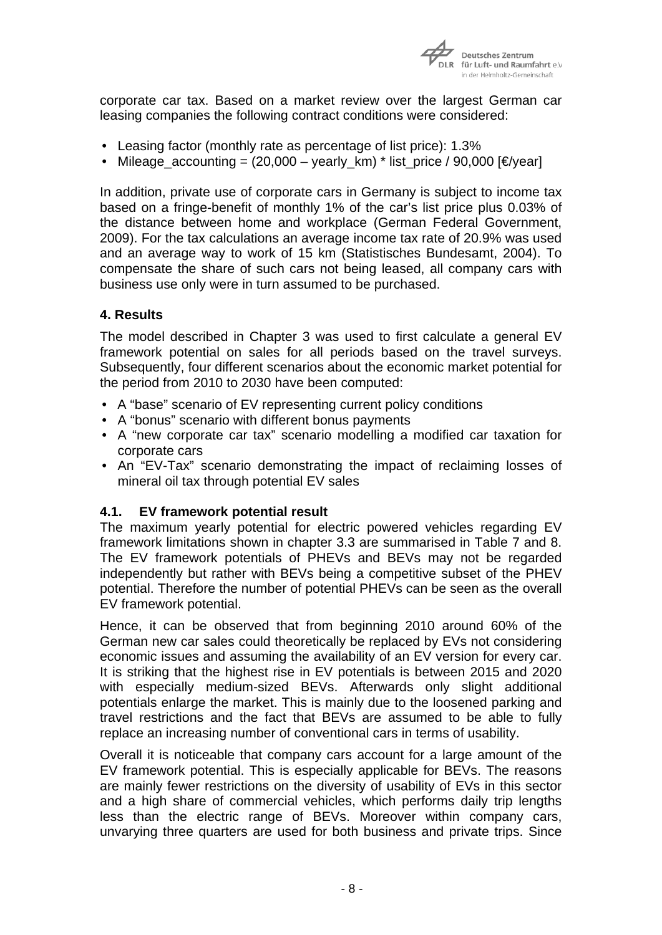

corporate car tax. Based on a market review over the largest German car leasing companies the following contract conditions were considered:

- Leasing factor (monthly rate as percentage of list price): 1.3%
- Mileage accounting =  $(20,000 \text{year})$  km) \* list price / 90,000 [€/year]

In addition, private use of corporate cars in Germany is subject to income tax based on a fringe-benefit of monthly 1% of the car's list price plus 0.03% of the distance between home and workplace (German Federal Government, 2009). For the tax calculations an average income tax rate of 20.9% was used and an average way to work of 15 km (Statistisches Bundesamt, 2004). To compensate the share of such cars not being leased, all company cars with business use only were in turn assumed to be purchased.

# **4. Results**

The model described in Chapter 3 was used to first calculate a general EV framework potential on sales for all periods based on the travel surveys. Subsequently, four different scenarios about the economic market potential for the period from 2010 to 2030 have been computed:

- A "base" scenario of EV representing current policy conditions
- A "bonus" scenario with different bonus payments
- A "new corporate car tax" scenario modelling a modified car taxation for corporate cars
- An "EV-Tax" scenario demonstrating the impact of reclaiming losses of mineral oil tax through potential EV sales

## **4.1. EV framework potential result**

The maximum yearly potential for electric powered vehicles regarding EV framework limitations shown in chapter 3.3 are summarised in Table 7 and 8. The EV framework potentials of PHEVs and BEVs may not be regarded independently but rather with BEVs being a competitive subset of the PHEV potential. Therefore the number of potential PHEVs can be seen as the overall EV framework potential.

Hence, it can be observed that from beginning 2010 around 60% of the German new car sales could theoretically be replaced by EVs not considering economic issues and assuming the availability of an EV version for every car. It is striking that the highest rise in EV potentials is between 2015 and 2020 with especially medium-sized BEVs. Afterwards only slight additional potentials enlarge the market. This is mainly due to the loosened parking and travel restrictions and the fact that BEVs are assumed to be able to fully replace an increasing number of conventional cars in terms of usability.

Overall it is noticeable that company cars account for a large amount of the EV framework potential. This is especially applicable for BEVs. The reasons are mainly fewer restrictions on the diversity of usability of EVs in this sector and a high share of commercial vehicles, which performs daily trip lengths less than the electric range of BEVs. Moreover within company cars, unvarying three quarters are used for both business and private trips. Since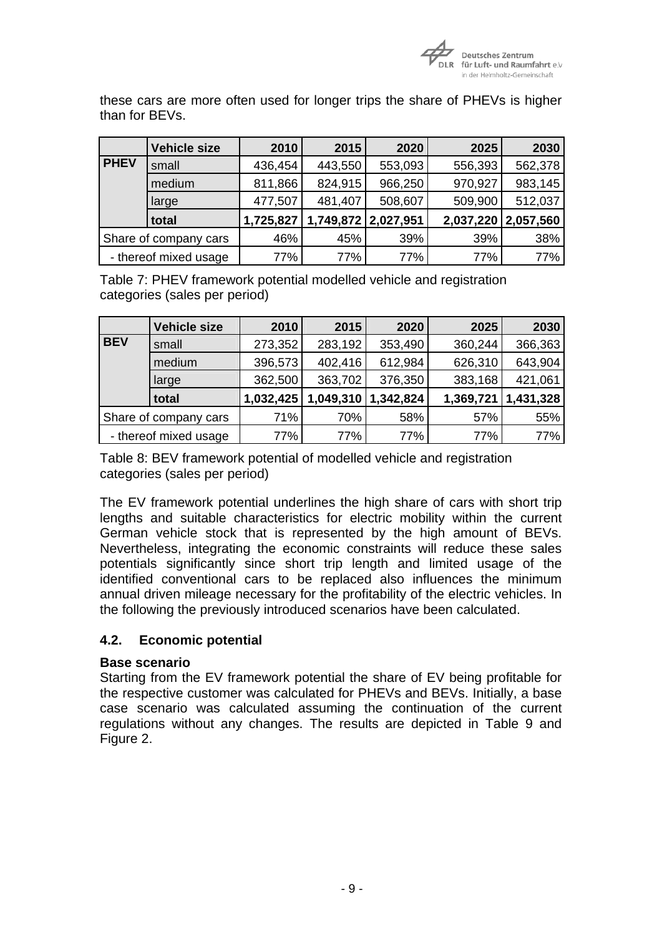

these cars are more often used for longer trips the share of PHEVs is higher than for BEVs.

|             | <b>Vehicle size</b>   | 2010      | 2015                | 2020    | 2025    | 2030                |
|-------------|-----------------------|-----------|---------------------|---------|---------|---------------------|
| <b>PHEV</b> | small                 | 436,454   | 443,550             | 553,093 | 556,393 | 562,378             |
|             | medium                | 811,866   | 824,915             | 966,250 | 970,927 | 983,145             |
|             | large                 | 477,507   | 481,407             | 508,607 | 509,900 | 512,037             |
|             | total                 | 1,725,827 | 1,749,872 2,027,951 |         |         | 2,037,220 2,057,560 |
|             | Share of company cars | 46%       | 45%                 | 39%     | 39%     | 38%                 |
|             | - thereof mixed usage | 77%       | 77%                 | 77%     | 77%     | 77%                 |

Table 7: PHEV framework potential modelled vehicle and registration categories (sales per period)

|            | <b>Vehicle size</b>   | 2010      | 2015      | 2020      | 2025      | 2030      |
|------------|-----------------------|-----------|-----------|-----------|-----------|-----------|
| <b>BEV</b> | small                 | 273,352   | 283,192   | 353,490   | 360,244   | 366,363   |
|            | medium                | 396,573   | 402,416   | 612,984   | 626,310   | 643,904   |
|            | large                 | 362,500   | 363,702   | 376,350   | 383,168   | 421,061   |
|            | total                 | 1,032,425 | 1,049,310 | 1,342,824 | 1,369,721 | 1,431,328 |
|            | Share of company cars | 71%       | 70%       | 58%       | 57%       | 55%       |
|            | - thereof mixed usage | 77%       | 77%       | 77%       | 77%       | 77%       |

Table 8: BEV framework potential of modelled vehicle and registration categories (sales per period)

The EV framework potential underlines the high share of cars with short trip lengths and suitable characteristics for electric mobility within the current German vehicle stock that is represented by the high amount of BEVs. Nevertheless, integrating the economic constraints will reduce these sales potentials significantly since short trip length and limited usage of the identified conventional cars to be replaced also influences the minimum annual driven mileage necessary for the profitability of the electric vehicles. In the following the previously introduced scenarios have been calculated.

## **4.2. Economic potential**

## **Base scenario**

Starting from the EV framework potential the share of EV being profitable for the respective customer was calculated for PHEVs and BEVs. Initially, a base case scenario was calculated assuming the continuation of the current regulations without any changes. The results are depicted in Table 9 and Figure 2.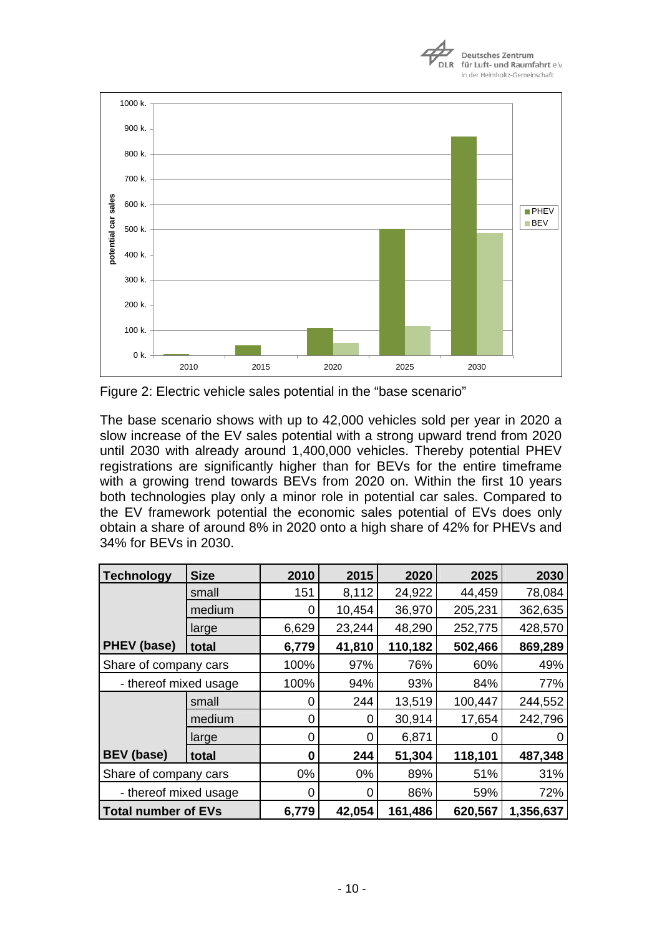



Figure 2: Electric vehicle sales potential in the "base scenario"

The base scenario shows with up to 42,000 vehicles sold per year in 2020 a slow increase of the EV sales potential with a strong upward trend from 2020 until 2030 with already around 1,400,000 vehicles. Thereby potential PHEV registrations are significantly higher than for BEVs for the entire timeframe with a growing trend towards BEVs from 2020 on. Within the first 10 years both technologies play only a minor role in potential car sales. Compared to the EV framework potential the economic sales potential of EVs does only obtain a share of around 8% in 2020 onto a high share of 42% for PHEVs and 34% for BEVs in 2030.

| <b>Technology</b>          | <b>Size</b> | 2010  | 2015   | 2020    | 2025    | 2030      |
|----------------------------|-------------|-------|--------|---------|---------|-----------|
|                            | small       | 151   | 8,112  | 24,922  | 44,459  | 78,084    |
|                            | medium      | 0     | 10,454 | 36,970  | 205,231 | 362,635   |
|                            | large       | 6,629 | 23,244 | 48,290  | 252,775 | 428,570   |
| <b>PHEV</b> (base)         | total       | 6,779 | 41,810 | 110,182 | 502,466 | 869,289   |
| Share of company cars      |             | 100%  | 97%    | 76%     | 60%     | 49%       |
| - thereof mixed usage      |             | 100%  | 94%    | 93%     | 84%     | 77%       |
|                            | small       | 0     | 244    | 13,519  | 100,447 | 244,552   |
|                            | medium      | 0     | 0      | 30,914  | 17,654  | 242,796   |
|                            | large       | 0     | 0      | 6,871   |         |           |
| <b>BEV</b> (base)          | total       | 0     | 244    | 51,304  | 118,101 | 487,348   |
| Share of company cars      |             | $0\%$ | 0%     | 89%     | 51%     | 31%       |
| - thereof mixed usage      |             | O     | 0      | 86%     | 59%     | 72%       |
| <b>Total number of EVs</b> |             | 6,779 | 42,054 | 161,486 | 620,567 | 1,356,637 |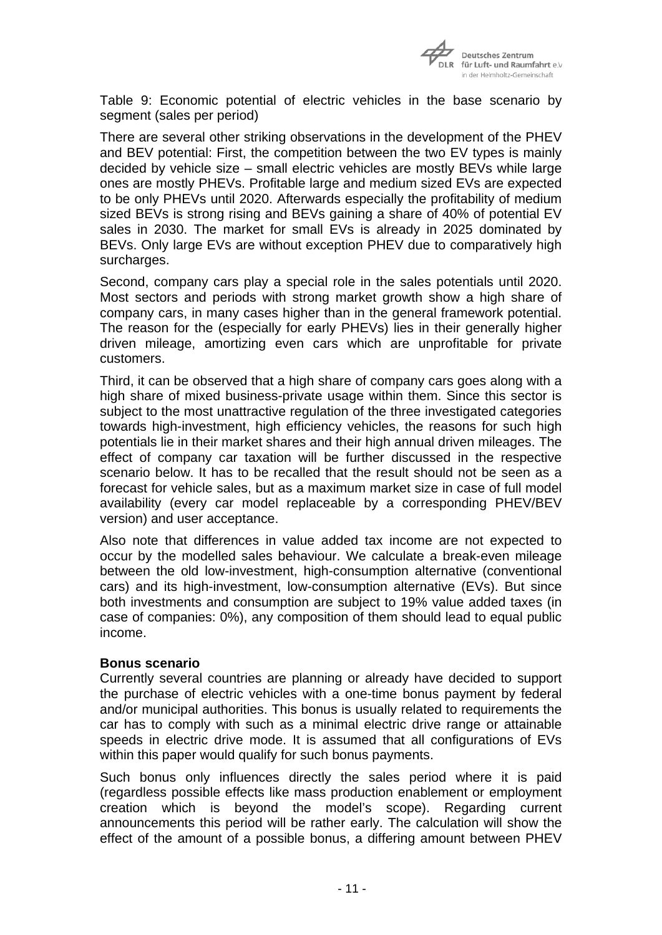

Table 9: Economic potential of electric vehicles in the base scenario by segment (sales per period)

There are several other striking observations in the development of the PHEV and BEV potential: First, the competition between the two EV types is mainly decided by vehicle size – small electric vehicles are mostly BEVs while large ones are mostly PHEVs. Profitable large and medium sized EVs are expected to be only PHEVs until 2020. Afterwards especially the profitability of medium sized BEVs is strong rising and BEVs gaining a share of 40% of potential EV sales in 2030. The market for small EVs is already in 2025 dominated by BEVs. Only large EVs are without exception PHEV due to comparatively high surcharges.

Second, company cars play a special role in the sales potentials until 2020. Most sectors and periods with strong market growth show a high share of company cars, in many cases higher than in the general framework potential. The reason for the (especially for early PHEVs) lies in their generally higher driven mileage, amortizing even cars which are unprofitable for private customers.

Third, it can be observed that a high share of company cars goes along with a high share of mixed business-private usage within them. Since this sector is subject to the most unattractive regulation of the three investigated categories towards high-investment, high efficiency vehicles, the reasons for such high potentials lie in their market shares and their high annual driven mileages. The effect of company car taxation will be further discussed in the respective scenario below. It has to be recalled that the result should not be seen as a forecast for vehicle sales, but as a maximum market size in case of full model availability (every car model replaceable by a corresponding PHEV/BEV version) and user acceptance.

Also note that differences in value added tax income are not expected to occur by the modelled sales behaviour. We calculate a break-even mileage between the old low-investment, high-consumption alternative (conventional cars) and its high-investment, low-consumption alternative (EVs). But since both investments and consumption are subject to 19% value added taxes (in case of companies: 0%), any composition of them should lead to equal public income.

#### **Bonus scenario**

Currently several countries are planning or already have decided to support the purchase of electric vehicles with a one-time bonus payment by federal and/or municipal authorities. This bonus is usually related to requirements the car has to comply with such as a minimal electric drive range or attainable speeds in electric drive mode. It is assumed that all configurations of EVs within this paper would qualify for such bonus payments.

Such bonus only influences directly the sales period where it is paid (regardless possible effects like mass production enablement or employment creation which is beyond the model's scope). Regarding current announcements this period will be rather early. The calculation will show the effect of the amount of a possible bonus, a differing amount between PHEV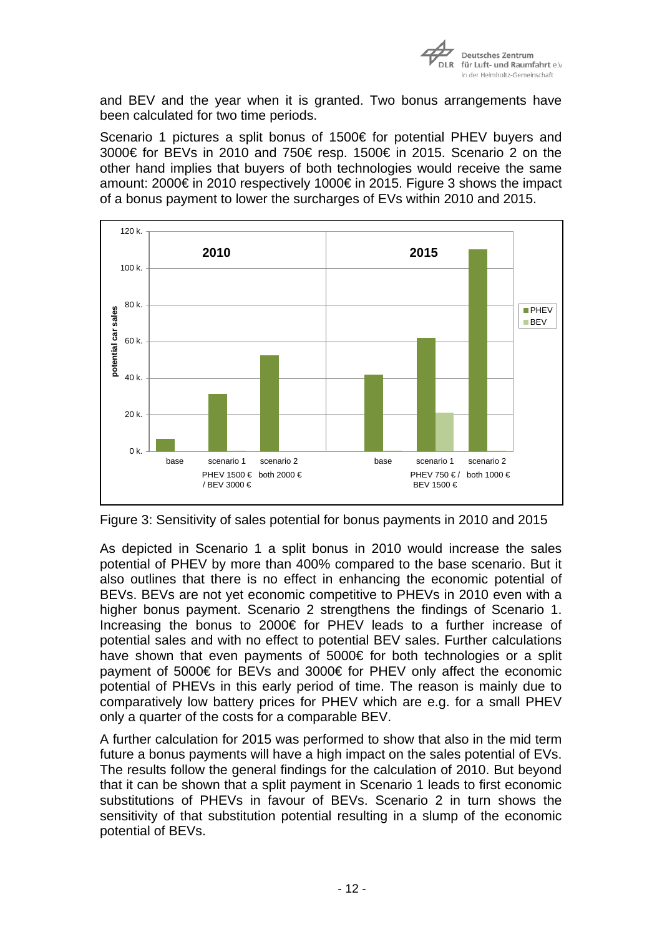

and BEV and the year when it is granted. Two bonus arrangements have been calculated for two time periods.

Scenario 1 pictures a split bonus of 1500€ for potential PHEV buyers and 3000€ for BEVs in 2010 and 750€ resp. 1500€ in 2015. Scenario 2 on the other hand implies that buyers of both technologies would receive the same amount: 2000€ in 2010 respectively 1000€ in 2015. Figure 3 shows the impact of a bonus payment to lower the surcharges of EVs within 2010 and 2015.



Figure 3: Sensitivity of sales potential for bonus payments in 2010 and 2015

As depicted in Scenario 1 a split bonus in 2010 would increase the sales potential of PHEV by more than 400% compared to the base scenario. But it also outlines that there is no effect in enhancing the economic potential of BEVs. BEVs are not yet economic competitive to PHEVs in 2010 even with a higher bonus payment. Scenario 2 strengthens the findings of Scenario 1. Increasing the bonus to 2000€ for PHEV leads to a further increase of potential sales and with no effect to potential BEV sales. Further calculations have shown that even payments of 5000€ for both technologies or a split payment of 5000€ for BEVs and 3000€ for PHEV only affect the economic potential of PHEVs in this early period of time. The reason is mainly due to comparatively low battery prices for PHEV which are e.g. for a small PHEV only a quarter of the costs for a comparable BEV.

A further calculation for 2015 was performed to show that also in the mid term future a bonus payments will have a high impact on the sales potential of EVs. The results follow the general findings for the calculation of 2010. But beyond that it can be shown that a split payment in Scenario 1 leads to first economic substitutions of PHEVs in favour of BEVs. Scenario 2 in turn shows the sensitivity of that substitution potential resulting in a slump of the economic potential of BEVs.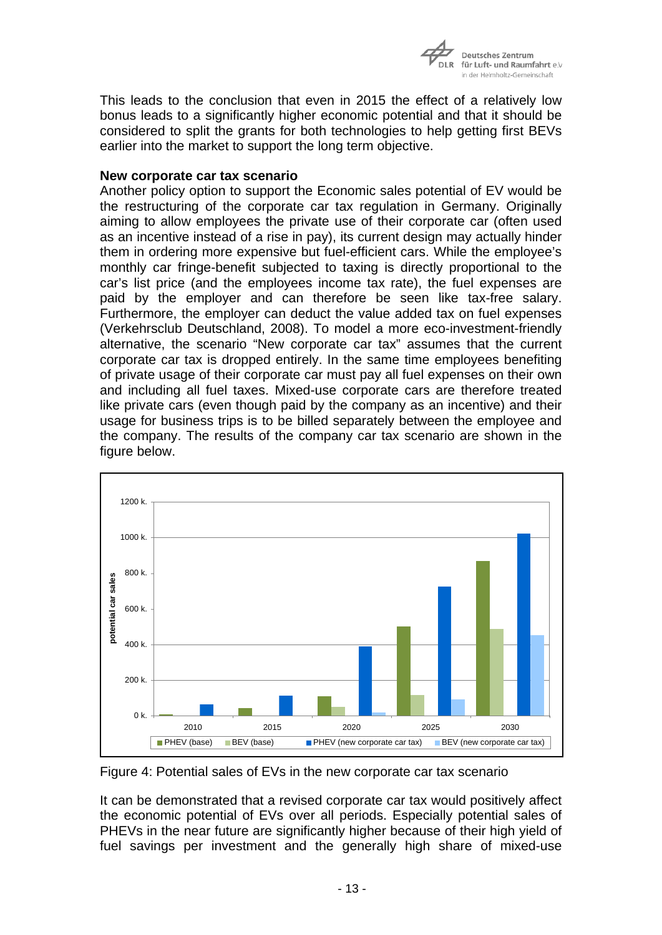

This leads to the conclusion that even in 2015 the effect of a relatively low bonus leads to a significantly higher economic potential and that it should be considered to split the grants for both technologies to help getting first BEVs earlier into the market to support the long term objective.

### **New corporate car tax scenario**

Another policy option to support the Economic sales potential of EV would be the restructuring of the corporate car tax regulation in Germany. Originally aiming to allow employees the private use of their corporate car (often used as an incentive instead of a rise in pay), its current design may actually hinder them in ordering more expensive but fuel-efficient cars. While the employee's monthly car fringe-benefit subjected to taxing is directly proportional to the car's list price (and the employees income tax rate), the fuel expenses are paid by the employer and can therefore be seen like tax-free salary. Furthermore, the employer can deduct the value added tax on fuel expenses (Verkehrsclub Deutschland, 2008). To model a more eco-investment-friendly alternative, the scenario "New corporate car tax" assumes that the current corporate car tax is dropped entirely. In the same time employees benefiting of private usage of their corporate car must pay all fuel expenses on their own and including all fuel taxes. Mixed-use corporate cars are therefore treated like private cars (even though paid by the company as an incentive) and their usage for business trips is to be billed separately between the employee and the company. The results of the company car tax scenario are shown in the figure below.



Figure 4: Potential sales of EVs in the new corporate car tax scenario

It can be demonstrated that a revised corporate car tax would positively affect the economic potential of EVs over all periods. Especially potential sales of PHEVs in the near future are significantly higher because of their high yield of fuel savings per investment and the generally high share of mixed-use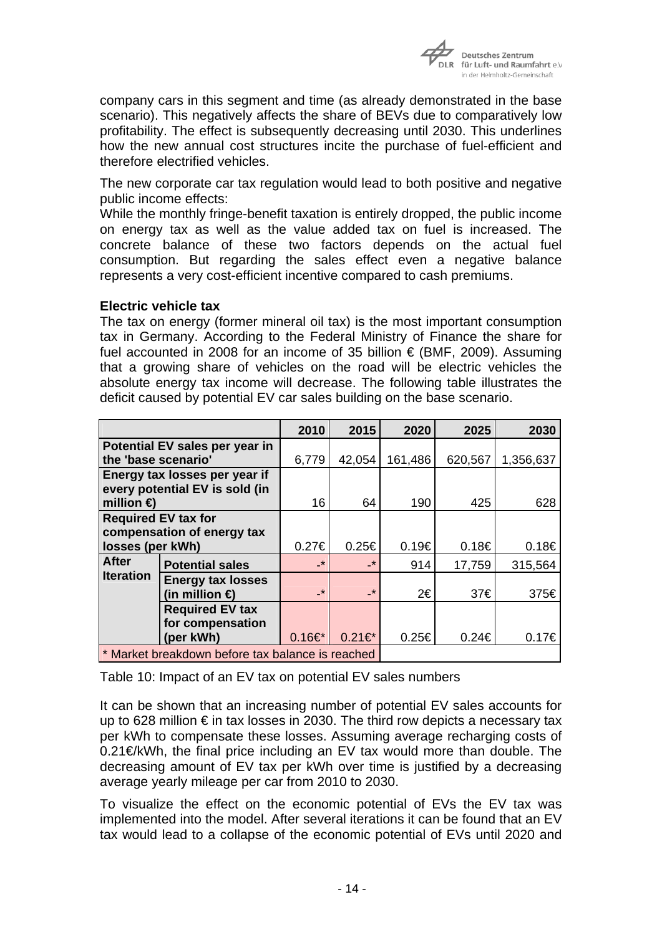

company cars in this segment and time (as already demonstrated in the base scenario). This negatively affects the share of BEVs due to comparatively low profitability. The effect is subsequently decreasing until 2030. This underlines how the new annual cost structures incite the purchase of fuel-efficient and therefore electrified vehicles.

The new corporate car tax regulation would lead to both positive and negative public income effects:

While the monthly fringe-benefit taxation is entirely dropped, the public income on energy tax as well as the value added tax on fuel is increased. The concrete balance of these two factors depends on the actual fuel consumption. But regarding the sales effect even a negative balance represents a very cost-efficient incentive compared to cash premiums.

### **Electric vehicle tax**

The tax on energy (former mineral oil tax) is the most important consumption tax in Germany. According to the Federal Ministry of Finance the share for fuel accounted in 2008 for an income of 35 billion  $\epsilon$  (BMF, 2009). Assuming that a growing share of vehicles on the road will be electric vehicles the absolute energy tax income will decrease. The following table illustrates the deficit caused by potential EV car sales building on the base scenario.

|                                                  |                                                                 | 2010                     | 2015                     | 2020       | 2025       | 2030              |
|--------------------------------------------------|-----------------------------------------------------------------|--------------------------|--------------------------|------------|------------|-------------------|
|                                                  | Potential EV sales per year in                                  |                          |                          |            |            |                   |
| the 'base scenario'                              |                                                                 | 6,779                    | 42,054                   | 161,486    | 620,567    | 1,356,637         |
|                                                  | Energy tax losses per year if<br>every potential EV is sold (in |                          |                          |            |            |                   |
| million $\bigoplus$                              |                                                                 | 16                       | 64                       | 190        | 425        | 628               |
|                                                  | <b>Required EV tax for</b>                                      |                          |                          |            |            |                   |
|                                                  | compensation of energy tax                                      |                          |                          |            |            |                   |
| losses (per kWh)                                 |                                                                 | $0.27 \in$               | $0.25 \in$               | 0.19E      | 0.18€      | 0.18€             |
| <b>After</b>                                     | <b>Potential sales</b>                                          | _*                       | _*                       | 914        | 17,759     | 315,564           |
| <b>Iteration</b>                                 | <b>Energy tax losses</b>                                        |                          |                          |            |            |                   |
|                                                  | (in million $\bigoplus$                                         | $\overline{\phantom{a}}$ | $\overline{\phantom{a}}$ | 2€         | 37€        | 375€              |
|                                                  | <b>Required EV tax</b>                                          |                          |                          |            |            |                   |
|                                                  | for compensation                                                |                          |                          |            |            |                   |
|                                                  | (per kWh)                                                       | $0.16*$                  | $0.21 \in \mathbb{R}^*$  | $0.25 \in$ | $0.24 \in$ | 0.17 <sup>ε</sup> |
| * Market breakdown before tax balance is reached |                                                                 |                          |                          |            |            |                   |

Table 10: Impact of an EV tax on potential EV sales numbers

It can be shown that an increasing number of potential EV sales accounts for up to 628 million  $\epsilon$  in tax losses in 2030. The third row depicts a necessary tax per kWh to compensate these losses. Assuming average recharging costs of 0.21€/kWh, the final price including an EV tax would more than double. The decreasing amount of EV tax per kWh over time is justified by a decreasing average yearly mileage per car from 2010 to 2030.

To visualize the effect on the economic potential of EVs the EV tax was implemented into the model. After several iterations it can be found that an EV tax would lead to a collapse of the economic potential of EVs until 2020 and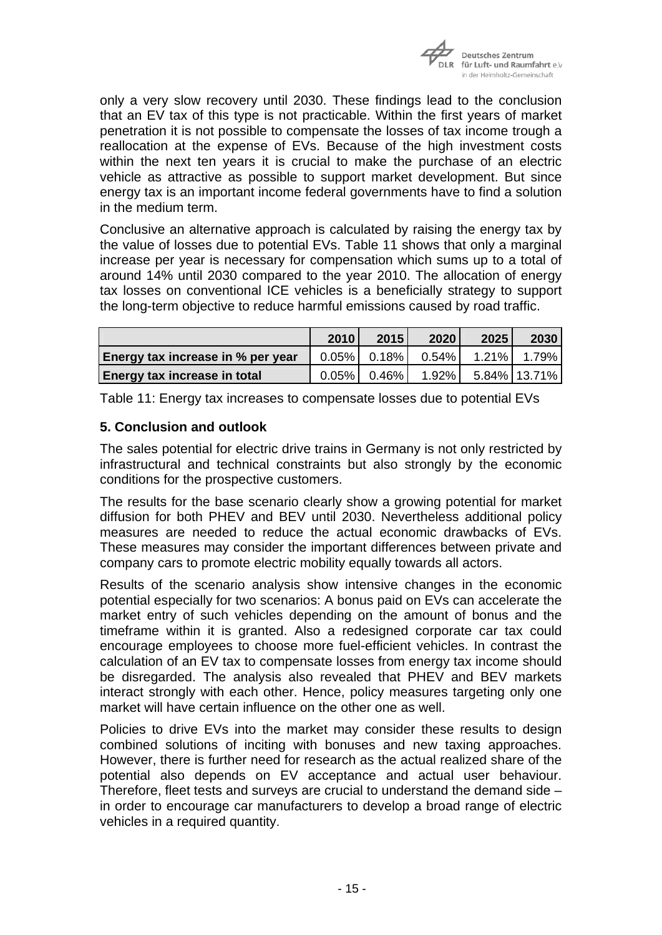

only a very slow recovery until 2030. These findings lead to the conclusion that an EV tax of this type is not practicable. Within the first years of market penetration it is not possible to compensate the losses of tax income trough a reallocation at the expense of EVs. Because of the high investment costs within the next ten years it is crucial to make the purchase of an electric vehicle as attractive as possible to support market development. But since energy tax is an important income federal governments have to find a solution in the medium term.

Conclusive an alternative approach is calculated by raising the energy tax by the value of losses due to potential EVs. Table 11 shows that only a marginal increase per year is necessary for compensation which sums up to a total of around 14% until 2030 compared to the year 2010. The allocation of energy tax losses on conventional ICE vehicles is a beneficially strategy to support the long-term objective to reduce harmful emissions caused by road traffic.

|                                     | 2010     | 2015           | 2020     | 2025 | 2030         |
|-------------------------------------|----------|----------------|----------|------|--------------|
| Energy tax increase in % per year   |          | $0.05\%$ 0.18% | 0.54%    |      |              |
| <b>Energy tax increase in total</b> | $0.05\%$ | $0.46\%$       | $1.92\%$ |      | 5.84% 13.71% |

Table 11: Energy tax increases to compensate losses due to potential EVs

## **5. Conclusion and outlook**

The sales potential for electric drive trains in Germany is not only restricted by infrastructural and technical constraints but also strongly by the economic conditions for the prospective customers.

The results for the base scenario clearly show a growing potential for market diffusion for both PHEV and BEV until 2030. Nevertheless additional policy measures are needed to reduce the actual economic drawbacks of EVs. These measures may consider the important differences between private and company cars to promote electric mobility equally towards all actors.

Results of the scenario analysis show intensive changes in the economic potential especially for two scenarios: A bonus paid on EVs can accelerate the market entry of such vehicles depending on the amount of bonus and the timeframe within it is granted. Also a redesigned corporate car tax could encourage employees to choose more fuel-efficient vehicles. In contrast the calculation of an EV tax to compensate losses from energy tax income should be disregarded. The analysis also revealed that PHEV and BEV markets interact strongly with each other. Hence, policy measures targeting only one market will have certain influence on the other one as well.

Policies to drive EVs into the market may consider these results to design combined solutions of inciting with bonuses and new taxing approaches. However, there is further need for research as the actual realized share of the potential also depends on EV acceptance and actual user behaviour. Therefore, fleet tests and surveys are crucial to understand the demand side – in order to encourage car manufacturers to develop a broad range of electric vehicles in a required quantity.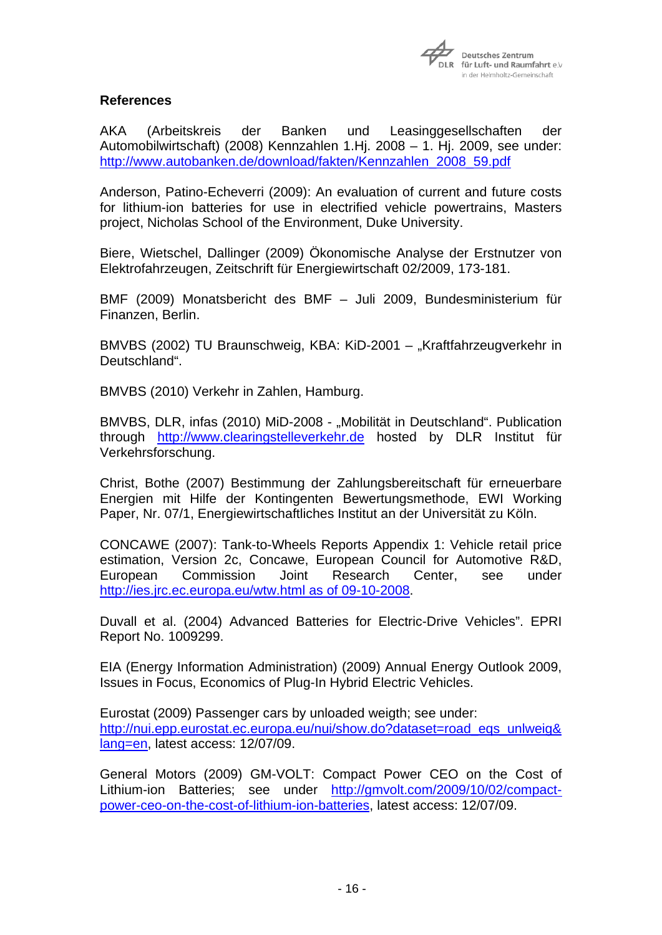

### **References**

AKA (Arbeitskreis der Banken und Leasinggesellschaften der Automobilwirtschaft) (2008) Kennzahlen 1.Hj. 2008 – 1. Hj. 2009, see under: [http://www.autobanken.de/download/fakten/Kennzahlen\\_2008\\_59.pdf](http://www.autobanken.de/download/fakten/Kennzahlen_2008_59.pdf)

Anderson, Patino-Echeverri (2009): An evaluation of current and future costs for lithium-ion batteries for use in electrified vehicle powertrains, Masters project, Nicholas School of the Environment, Duke University.

Biere, Wietschel, Dallinger (2009) Ökonomische Analyse der Erstnutzer von Elektrofahrzeugen, Zeitschrift für Energiewirtschaft 02/2009, 173-181.

BMF (2009) Monatsbericht des BMF – Juli 2009, Bundesministerium für Finanzen, Berlin.

BMVBS (2002) TU Braunschweig, KBA: KiD-2001 – "Kraftfahrzeugverkehr in Deutschland".

BMVBS (2010) Verkehr in Zahlen, Hamburg.

BMVBS, DLR, infas (2010) MiD-2008 - "Mobilität in Deutschland". Publication through [http://www.clearingstelleverkehr.de](http://www.clearingstelleverkehr.de/) hosted by DLR Institut für Verkehrsforschung.

Christ, Bothe (2007) Bestimmung der Zahlungsbereitschaft für erneuerbare Energien mit Hilfe der Kontingenten Bewertungsmethode, EWI Working Paper, Nr. 07/1, Energiewirtschaftliches Institut an der Universität zu Köln.

CONCAWE (2007): Tank-to-Wheels Reports Appendix 1: Vehicle retail price estimation, Version 2c, Concawe, European Council for Automotive R&D, European Commission Joint Research Center, see under [http://ies.jrc.ec.europa.eu/wtw.html as of 09-10-2008.](http://ies.jrc.ec.europa.eu/wtw.html%20as%20of%2009-10-2008)

Duvall et al. (2004) Advanced Batteries for Electric-Drive Vehicles". EPRI Report No. 1009299.

EIA (Energy Information Administration) (2009) Annual Energy Outlook 2009, Issues in Focus, Economics of Plug-In Hybrid Electric Vehicles.

Eurostat (2009) Passenger cars by unloaded weigth; see under: [http://nui.epp.eurostat.ec.europa.eu/nui/show.do?dataset=road\\_eqs\\_unlweig&](http://nui.epp.eurostat.ec.europa.eu/nui/show.do?dataset=road_eqs_unlweig&lang=en) [lang=en,](http://nui.epp.eurostat.ec.europa.eu/nui/show.do?dataset=road_eqs_unlweig&lang=en) latest access: 12/07/09.

General Motors (2009) GM-VOLT: Compact Power CEO on the Cost of Lithium-ion Batteries; see under [http://gmvolt.com/2009/10/02/compact](http://gmvolt.com/2009/10/02/compact-power-ceo-on-the-cost-of-lithium-ion-batteries)[power-ceo-on-the-cost-of-lithium-ion-batteries](http://gmvolt.com/2009/10/02/compact-power-ceo-on-the-cost-of-lithium-ion-batteries), latest access: 12/07/09.